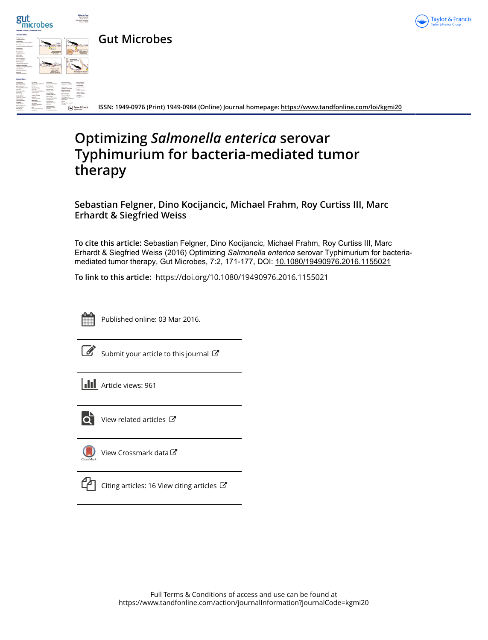



**ISSN: 1949-0976 (Print) 1949-0984 (Online) Journal homepage:<https://www.tandfonline.com/loi/kgmi20>**

# **Optimizing** *Salmonella enterica* **serovar Typhimurium for bacteria-mediated tumor therapy**

**Sebastian Felgner, Dino Kocijancic, Michael Frahm, Roy Curtiss III, Marc Erhardt & Siegfried Weiss**

**To cite this article:** Sebastian Felgner, Dino Kocijancic, Michael Frahm, Roy Curtiss III, Marc Erhardt & Siegfried Weiss (2016) Optimizing *Salmonellaenterica* serovar Typhimurium for bacteriamediated tumor therapy, Gut Microbes, 7:2, 171-177, DOI: [10.1080/19490976.2016.1155021](https://www.tandfonline.com/action/showCitFormats?doi=10.1080/19490976.2016.1155021)

**To link to this article:** <https://doi.org/10.1080/19490976.2016.1155021>



Published online: 03 Mar 2016.

 $\overline{\mathscr{L}}$  [Submit your article to this journal](https://www.tandfonline.com/action/authorSubmission?journalCode=kgmi20&show=instructions)  $\mathbb{F}$ 

**III** Article views: 961



[View related articles](https://www.tandfonline.com/doi/mlt/10.1080/19490976.2016.1155021) C



[View Crossmark data](http://crossmark.crossref.org/dialog/?doi=10.1080/19490976.2016.1155021&domain=pdf&date_stamp=2016-03-03)<sup>C</sup>



 $\Box$  [Citing articles: 16 View citing articles](https://www.tandfonline.com/doi/citedby/10.1080/19490976.2016.1155021#tabModule)  $\Box$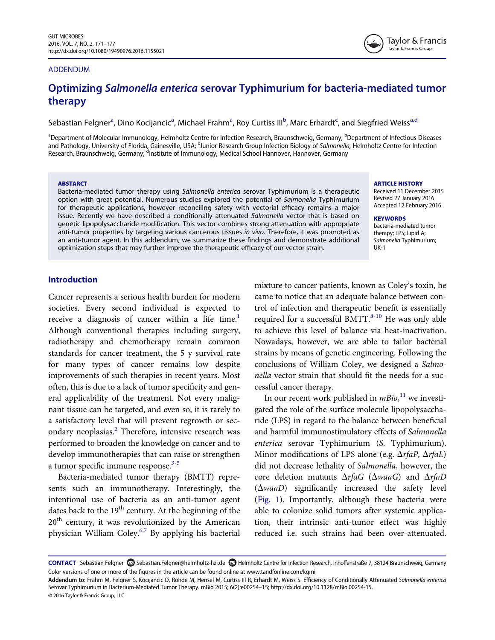#### ADDENDUM

## Optimizing Salmonella enterica serovar Typhimurium for bacteria-mediated tumor therapy

Seb[a](#page-1-0)stian Felgner<sup>a</sup>, Dino Kocijancic<sup>a</sup>, Michael Frahm<sup>a</sup>, Roy Curtiss III<sup>[b](#page-1-0)</sup>, Mar[c](#page-1-1) Erhardt<sup>c</sup>, and Siegfried Weiss<sup>a[,d](#page-1-2)</sup>

<span id="page-1-2"></span><span id="page-1-1"></span><span id="page-1-0"></span><sup>a</sup>Department of Molecular Immunology, Helmholtz Centre for Infection Research, Braunschweig, Germany; <sup>b</sup>Department of Infectious Diseases and Pathology, University of Florida, Gainesville, USA; <sup>c</sup>Junior Research Group Infection Biology of Salmonella, Helmholtz Centre for Infection<br>Research Braunschweig, Germany: <sup>d</sup>Institute of Immunology, Medical School Ha Research, Braunschweig, Germany; <sup>d</sup>Institute of Immunology, Medical School Hannover, Hannover, Germany

#### ABSTARCT

Bacteria-mediated tumor therapy using Salmonella enterica serovar Typhimurium is a therapeutic option with great potential. Numerous studies explored the potential of Salmonella Typhimurium for therapeutic applications, however reconciling safety with vectorial efficacy remains a major issue. Recently we have described a conditionally attenuated Salmonella vector that is based on genetic lipopolysaccharide modification. This vector combines strong attenuation with appropriate anti-tumor properties by targeting various cancerous tissues in vivo. Therefore, it was promoted as an anti-tumor agent. In this addendum, we summarize these findings and demonstrate additional optimization steps that may further improve the therapeutic efficacy of our vector strain.

#### ARTICLE HISTORY

Received 11 December 2015 Revised 27 January 2016 Accepted 12 February 2016

Taylor & Francis Taylor & Francis Group

**KEYWORDS** bacteria-mediated tumor therapy; LPS; Lipid A; Salmonella Typhimurium; UK-1

#### Introduction

Cancer represents a serious health burden for modern societies. Every second individual is expected to receive a diagnosis of cancer within a life time.<sup>1</sup> Although conventional therapies including surgery, radiotherapy and chemotherapy remain common standards for cancer treatment, the 5 y survival rate for many types of cancer remains low despite improvements of such therapies in recent years. Most often, this is due to a lack of tumor specificity and general applicability of the treatment. Not every malignant tissue can be targeted, and even so, it is rarely to a satisfactory level that will prevent regrowth or secondary neoplasias.[2](#page-6-1) Therefore, intensive research was performed to broaden the knowledge on cancer and to develop immunotherapies that can raise or strengthen a tumor specific immune response.<sup>[3-5](#page-6-2)</sup>

Bacteria-mediated tumor therapy (BMTT) represents such an immunotherapy. Interestingly, the intentional use of bacteria as an anti-tumor agent dates back to the  $19<sup>th</sup>$  century. At the beginning of the 20<sup>th</sup> century, it was revolutionized by the American physician William Coley[.6,7](#page-6-3) By applying his bacterial mixture to cancer patients, known as Coley's toxin, he came to notice that an adequate balance between control of infection and therapeutic benefit is essentially required for a successful BMTT. $8-10$  He was only able to achieve this level of balance via heat-inactivation. Nowadays, however, we are able to tailor bacterial strains by means of genetic engineering. Following the conclusions of William Coley, we designed a Salmonella vector strain that should fit the needs for a successful cancer therapy.

In our recent work published in  $mBio$ ,<sup>[11](#page-6-5)</sup> we investigated the role of the surface molecule lipopolysaccharide (LPS) in regard to the balance between beneficial and harmful immunostimulatory effects of Salmonella enterica serovar Typhimurium (S. Typhimurium). Minor modifications of LPS alone (e.g.  $\Delta rfaP$ ,  $\Delta rfaL$ ) did not decrease lethality of Salmonella, however, the core deletion mutants  $\Delta rfaG$  ( $\Delta waaG$ ) and  $\Delta rfaD$  $(\Delta waaD)$  significantly increased the safety level ([Fig. 1\)](#page-2-0). Importantly, although these bacteria were able to colonize solid tumors after systemic application, their intrinsic anti-tumor effect was highly reduced i.e. such strains had been over-attenuated.

CONTACT Sebastian Felgner Sebastian.Felgner@helmholtz-hzi.de DHelmholtz Centre for Infection Research, Inhoffenstraße 7, 38124 Braunschweig, Germany Color versions of one or more of the figures in the article can be found online at [www.tandfonline.com/kgmi](http://www.tandfonline.com/kgmi)

Addendum to: Frahm M, Felgner S, Kocijancic D, Rohde M, Hensel M, Curtiss III R, Erhardt M, Weiss S. Efficiency of Conditionally Attenuated Salmonella enterica Serovar Typhimurium in Bacterium-Mediated Tumor Therapy. mBio 2015; 6(2):e00254–15; [http://dx.doi.org/10.1128/mBio.00254-15.](http://dx.doi.org/10.1128/mBio.00254-15) © 2016 Taylor & Francis Group, LLC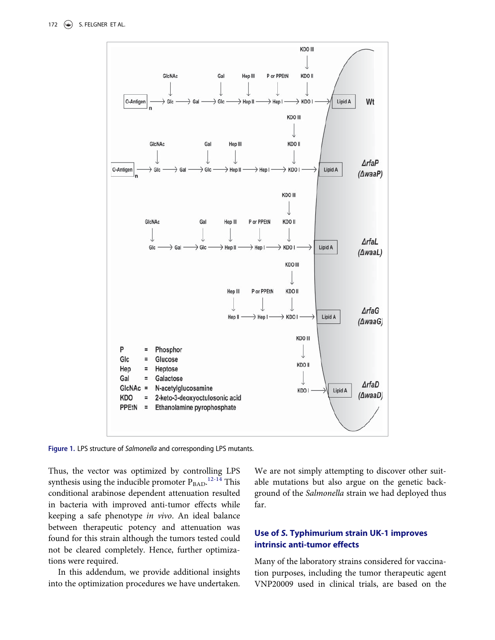<span id="page-2-0"></span>

Figure 1. LPS structure of Salmonella and corresponding LPS mutants.

Thus, the vector was optimized by controlling LPS synthesis using the inducible promoter  $P_{\rm BAD}$ .<sup>[12-14](#page-6-6)</sup> This conditional arabinose dependent attenuation resulted in bacteria with improved anti-tumor effects while keeping a safe phenotype in vivo. An ideal balance between therapeutic potency and attenuation was found for this strain although the tumors tested could not be cleared completely. Hence, further optimizations were required.

In this addendum, we provide additional insights into the optimization procedures we have undertaken. We are not simply attempting to discover other suitable mutations but also argue on the genetic background of the Salmonella strain we had deployed thus far.

## Use of S. Typhimurium strain UK-1 improves intrinsic anti-tumor effects

Many of the laboratory strains considered for vaccination purposes, including the tumor therapeutic agent VNP20009 used in clinical trials, are based on the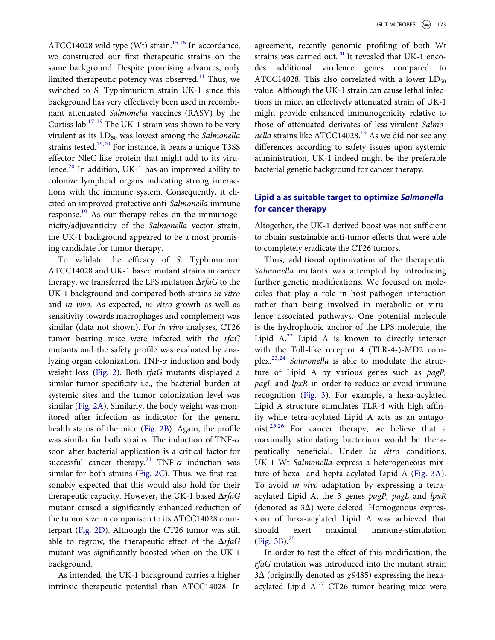ATCC14028 wild type (Wt) strain.<sup>[15,16](#page-6-7)</sup> In accordance, we constructed our first therapeutic strains on the same background. Despite promising advances, only limited therapeutic potency was observed.<sup>[11](#page-6-5)</sup> Thus, we switched to S. Typhimurium strain UK-1 since this background has very effectively been used in recombinant attenuated Salmonella vaccines (RASV) by the Curtiss lab.<sup>[17-19](#page-6-8)</sup> The UK-1 strain was shown to be very virulent as its  $LD_{50}$  was lowest among the Salmonella strains tested.<sup>[19,20](#page-6-9)</sup> For instance, it bears a unique T3SS effector NleC like protein that might add to its viru-lence.<sup>[20](#page-6-10)</sup> In addition, UK-1 has an improved ability to colonize lymphoid organs indicating strong interactions with the immune system. Consequently, it elicited an improved protective anti-Salmonella immune response.[19](#page-6-9) As our therapy relies on the immunogenicity/adjuvanticity of the Salmonella vector strain, the UK-1 background appeared to be a most promising candidate for tumor therapy.

To validate the efficacy of S. Typhimurium ATCC14028 and UK-1 based mutant strains in cancer therapy, we transferred the LPS mutation  $\Delta rfaG$  to the UK-1 background and compared both strains in vitro and in vivo. As expected, in vitro growth as well as sensitivity towards macrophages and complement was similar (data not shown). For in vivo analyses, CT26 tumor bearing mice were infected with the rfaG mutants and the safety profile was evaluated by analyzing organ colonization, TNF- $\alpha$  induction and body weight loss [\(Fig. 2](#page-4-0)). Both rfaG mutants displayed a similar tumor specificity i.e., the bacterial burden at systemic sites and the tumor colonization level was similar [\(Fig. 2A\)](#page-4-0). Similarly, the body weight was monitored after infection as indicator for the general health status of the mice ([Fig. 2B](#page-4-0)). Again, the profile was similar for both strains. The induction of TNF- $\alpha$ soon after bacterial application is a critical factor for successful cancer therapy.<sup>[21](#page-6-11)</sup> TNF- $\alpha$  induction was similar for both strains [\(Fig. 2C\)](#page-4-0). Thus, we first reasonably expected that this would also hold for their therapeutic capacity. However, the UK-1 based  $\Delta rfaG$ mutant caused a significantly enhanced reduction of the tumor size in comparison to its ATCC14028 counterpart ([Fig. 2D\)](#page-4-0). Although the CT26 tumor was still able to regrow, the therapeutic effect of the  $\Delta rfaG$ mutant was significantly boosted when on the UK-1 background.

As intended, the UK-1 background carries a higher intrinsic therapeutic potential than ATCC14028. In

agreement, recently genomic profiling of both Wt strains was carried out.<sup>[20](#page-6-10)</sup> It revealed that UK-1 encodes additional virulence genes compared to ATCC14028. This also correlated with a lower  $LD_{50}$ value. Although the UK-1 strain can cause lethal infections in mice, an effectively attenuated strain of UK-1 might provide enhanced immunogenicity relative to those of attenuated derivates of less-virulent Salmo-nella strains like ATCC14028.<sup>[19](#page-6-9)</sup> As we did not see any differences according to safety issues upon systemic administration, UK-1 indeed might be the preferable bacterial genetic background for cancer therapy.

## Lipid a as suitable target to optimize Salmonella for cancer therapy

Altogether, the UK-1 derived boost was not sufficient to obtain sustainable anti-tumor effects that were able to completely eradicate the CT26 tumors.

Thus, additional optimization of the therapeutic Salmonella mutants was attempted by introducing further genetic modifications. We focused on molecules that play a role in host-pathogen interaction rather than being involved in metabolic or virulence associated pathways. One potential molecule is the hydrophobic anchor of the LPS molecule, the Lipid  $A^{22}$  $A^{22}$  $A^{22}$  Lipid A is known to directly interact with the Toll-like receptor 4 (TLR-4-)-MD2 complex.[23,24](#page-7-1) Salmonella is able to modulate the structure of Lipid A by various genes such as pagP, pagL and lpxR in order to reduce or avoid immune recognition [\(Fig. 3\)](#page-4-1). For example, a hexa-acylated Lipid A structure stimulates TLR-4 with high affinity while tetra-acylated Lipid A acts as an antagonist.[25,26](#page-7-2) For cancer therapy, we believe that a maximally stimulating bacterium would be therapeutically beneficial. Under in vitro conditions, UK-1 Wt Salmonella express a heterogeneous mixture of hexa- and hepta-acylated Lipid A [\(Fig. 3A\)](#page-4-1). To avoid in vivo adaptation by expressing a tetraacylated Lipid A, the 3 genes pagP, pagL and lpxR (denoted as  $3\Delta$ ) were deleted. Homogenous expression of hexa-acylated Lipid A was achieved that should exert maximal immune-stimulation ([Fig. 3B\)](#page-4-1). $^{25}$  $^{25}$  $^{25}$ 

In order to test the effect of this modification, the rfaG mutation was introduced into the mutant strain  $3\Delta$  (originally denoted as  $\chi$ 9485) expressing the hexaacylated Lipid  $A^{27}$  $A^{27}$  $A^{27}$  CT26 tumor bearing mice were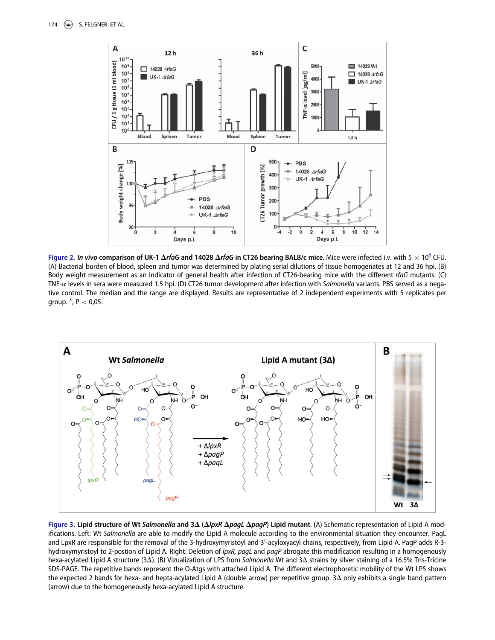<span id="page-4-0"></span>

Figure 2. In vivo comparison of UK-1  $\Delta$ rfaG and 14028  $\Delta$ rfaG in CT26 bearing BALB/c mice. Mice were infected i.v. with 5  $\times$  10<sup>6</sup> CFU. (A) Bacterial burden of blood, spleen and tumor was determined by plating serial dilutions of tissue homogenates at 12 and 36 hpi. (B) Body weight measurement as an indicator of general health after infection of CT26-bearing mice with the different rfaG mutants. (C) TNF- $\alpha$  levels in sera were measured 1.5 hpi. (D) CT26 tumor development after infection with Salmonella variants. PBS served as a negative control. The median and the range are displayed. Results are representative of 2 independent experiments with 5 replicates per group. , P < 0,05.

<span id="page-4-1"></span>

Figure 3. Lipid structure of Wt Salmonella and  $3\Delta$  ( $\Delta$ lpxR  $\Delta$ pagL  $\Delta$ pagP) Lipid mutant. (A) Schematic representation of Lipid A modifications. Left: Wt Salmonella are able to modify the Lipid A molecule according to the environmental situation they encounter. PagL and LpxR are responsible for the removal of the 3-hydroxymyristoyl and 3'-acyloxyacyl chains, respectively, from Lipid A. PagP adds R-3hydroxymyristoyl to 2-postion of Lipid A. Right: Deletion of lpxR, pagL and pagP abrogate this modification resulting in a homogenously hexa-acylated Lipid A structure (3 $\Delta$ ). (B) Vizualization of LPS from Salmonella Wt and 3 $\Delta$  strains by silver staining of a 16.5% Tris-Tricine SDS-PAGE. The repetitive bands represent the O-Atgs with attached Lipid A. The different electrophoretic mobility of the Wt LPS shows the expected 2 bands for hexa- and hepta-acylated Lipid A (double arrow) per repetitive group.  $3\Delta$  only exhibits a single band pattern (arrow) due to the homogeneously hexa-acylated Lipid A structure.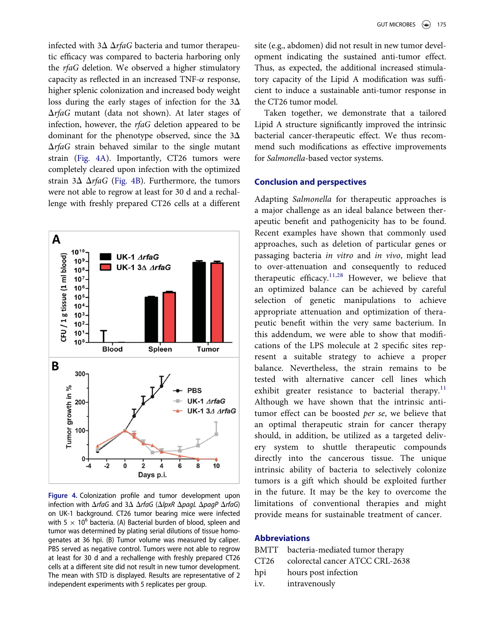infected with  $3\Delta \Delta rfaG$  bacteria and tumor therapeutic efficacy was compared to bacteria harboring only the rfaG deletion. We observed a higher stimulatory capacity as reflected in an increased TNF- $\alpha$  response, higher splenic colonization and increased body weight loss during the early stages of infection for the  $3\Delta$  $\Delta$ rfaG mutant (data not shown). At later stages of infection, however, the rfaG deletion appeared to be dominant for the phenotype observed, since the  $3\Delta$  $\Delta rfaG$  strain behaved similar to the single mutant strain [\(Fig. 4A](#page-5-0)). Importantly, CT26 tumors were completely cleared upon infection with the optimized strain  $3\Delta \Delta rfaG$  ([Fig. 4B\)](#page-5-0). Furthermore, the tumors were not able to regrow at least for 30 d and a rechallenge with freshly prepared CT26 cells at a different

<span id="page-5-0"></span>

Figure 4. Colonization profile and tumor development upon infection with  $\Delta$ rfaG and  $3\Delta$   $\Delta$ rfaG ( $\Delta$ lpxR  $\Delta$ pagL  $\Delta$ pagP  $\Delta$ rfaG) on UK-1 background. CT26 tumor bearing mice were infected with 5  $\times$  10<sup>6</sup> bacteria. (A) Bacterial burden of blood, spleen and tumor was determined by plating serial dilutions of tissue homogenates at 36 hpi. (B) Tumor volume was measured by caliper. PBS served as negative control. Tumors were not able to regrow at least for 30 d and a rechallenge with freshly prepared CT26 cells at a different site did not result in new tumor development. The mean with STD is displayed. Results are representative of 2 independent experiments with 5 replicates per group.

site (e.g., abdomen) did not result in new tumor development indicating the sustained anti-tumor effect. Thus, as expected, the additional increased stimulatory capacity of the Lipid A modification was sufficient to induce a sustainable anti-tumor response in the CT26 tumor model.

Taken together, we demonstrate that a tailored Lipid A structure significantly improved the intrinsic bacterial cancer-therapeutic effect. We thus recommend such modifications as effective improvements for Salmonella-based vector systems.

## Conclusion and perspectives

Adapting Salmonella for therapeutic approaches is a major challenge as an ideal balance between therapeutic benefit and pathogenicity has to be found. Recent examples have shown that commonly used approaches, such as deletion of particular genes or passaging bacteria in vitro and in vivo, might lead to over-attenuation and consequently to reduced therapeutic efficacy.<sup>[11,28](#page-6-5)</sup> However, we believe that an optimized balance can be achieved by careful selection of genetic manipulations to achieve appropriate attenuation and optimization of therapeutic benefit within the very same bacterium. In this addendum, we were able to show that modifications of the LPS molecule at 2 specific sites represent a suitable strategy to achieve a proper balance. Nevertheless, the strain remains to be tested with alternative cancer cell lines which exhibit greater resistance to bacterial therapy. $11$ Although we have shown that the intrinsic antitumor effect can be boosted per se, we believe that an optimal therapeutic strain for cancer therapy should, in addition, be utilized as a targeted delivery system to shuttle therapeutic compounds directly into the cancerous tissue. The unique intrinsic ability of bacteria to selectively colonize tumors is a gift which should be exploited further in the future. It may be the key to overcome the limitations of conventional therapies and might provide means for sustainable treatment of cancer.

#### Abbreviations

- BMTT bacteria-mediated tumor therapy CT26 colorectal cancer ATCC CRL-2638
- hpi hours post infection
- i.v. intravenously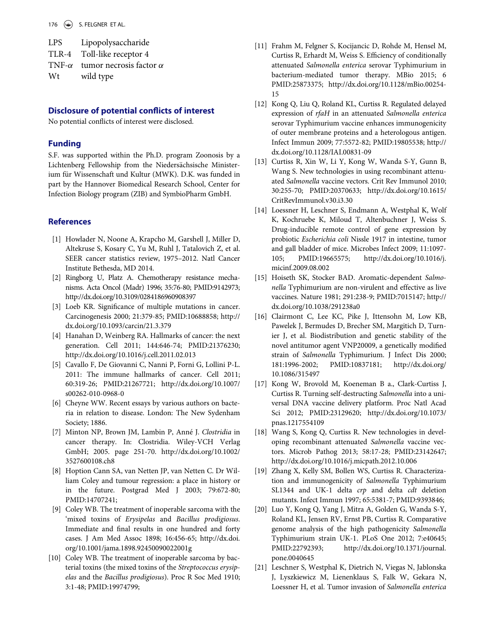<span id="page-6-5"></span>LPS Lipopolysaccharide TLR-4 Toll-like receptor 4 TNF- $\alpha$  tumor necrosis factor  $\alpha$ W<sub>t</sub> wild type

#### <span id="page-6-6"></span>Disclosure of potential conflicts of interest

No potential conflicts of interest were disclosed.

#### Funding

S.F. was supported within the Ph.D. program Zoonosis by a Lichtenberg Fellowship from the Niedersächsische Ministerium für Wissenschaft und Kultur (MWK). D.K. was funded in part by the Hannover Biomedical Research School, Center for Infection Biology program (ZIB) and SymbioPharm GmbH.

#### <span id="page-6-0"></span>**References**

- [1] Howlader N, Noone A, Krapcho M, Garshell J, Miller D, Altekruse S, Kosary C, Yu M, Ruhl J, Tatalovich Z, et al. SEER cancer statistics review, 1975–2012. Natl Cancer Institute Bethesda, MD 2014.
- <span id="page-6-7"></span><span id="page-6-1"></span>[2] Ringborg U, Platz A. Chemotherapy resistance mechanisms. Acta Oncol (Madr) 1996; 35:76-80; PMID:[9142973;](http://dx.doi.org/9142973) <http://dx.doi.org/10.3109/0284186960908397>
- <span id="page-6-2"></span>[3] Loeb KR. Significance of multiple mutations in cancer. Carcinogenesis 2000; 21:379-85; PMID:[10688858; http://](http://dx.doi.org/10688858) [dx.doi.org/10.1093/carcin/21.3.379](http://dx.doi.org/10.1093/carcin/21.3.379)
- [4] Hanahan D, Weinberg RA. Hallmarks of cancer: the next generation. Cell 2011; 144:646-74; PMID:[21376230;](http://dx.doi.org/21376230) <http://dx.doi.org/10.1016/j.cell.2011.02.013>
- <span id="page-6-8"></span>[5] Cavallo F, De Giovanni C, Nanni P, Forni G, Lollini P-L. 2011: The immune hallmarks of cancer. Cell 2011; 60:319-26; PMID:[21267721; http://dx.doi.org/10.1007/](http://dx.doi.org/10.1007/s00262-010-0968-0) [s00262-010-0968-0](http://dx.doi.org/10.1007/s00262-010-0968-0)
- <span id="page-6-3"></span>[6] Cheyne WW. Recent essays by various authors on bacteria in relation to disease. London: The New Sydenham Society; 1886.
- [7] Minton NP, Brown JM, Lambin P, Anné J. Clostridia in cancer therapy. In: Clostridia. Wiley-VCH Verlag GmbH; 2005. page 251-70. http://dx.doi.org/[10.1002/](http://dx.doi.org/10.1002/3527600108.ch8) [3527600108.ch8](http://dx.doi.org/10.1002/3527600108.ch8)
- <span id="page-6-9"></span><span id="page-6-4"></span>[8] Hoption Cann SA, van Netten JP, van Netten C. Dr William Coley and tumour regression: a place in history or in the future. Postgrad Med J 2003; 79:672-80; PMID:[14707241;](http://dx.doi.org/14707241)
- <span id="page-6-10"></span>[9] Coley WB. The treatment of inoperable sarcoma with the 'mixed toxins of Erysipelas and Bacillus prodigiosus. Immediate and final results in one hundred and forty cases. J Am Med Assoc 1898; 16:456-65; http://dx.doi. org/[10.1001/jama.1898.92450090022001g](http://dx.doi.org/10.1001/jama.1898.92450090022001g)
- <span id="page-6-11"></span>[10] Coley WB. The treatment of inoperable sarcoma by bacterial toxins (the mixed toxins of the Streptococcus erysipelas and the Bacillus prodigiosus). Proc R Soc Med 1910; 3:1-48; PMID:[19974799;](http://dx.doi.org/19974799)
- [11] Frahm M, Felgner S, Kocijancic D, Rohde M, Hensel M, Curtiss R, Erhardt M, Weiss S. Efficiency of conditionally attenuated Salmonella enterica serovar Typhimurium in bacterium-mediated tumor therapy. MBio 2015; 6 PMID:[25873375; http://dx.doi.org/10.1128/mBio.00254-](http://dx.doi.org/10.1128/mBio.00254-15) [15](http://dx.doi.org/10.1128/mBio.00254-15)
- [12] Kong Q, Liu Q, Roland KL, Curtiss R. Regulated delayed expression of rfaH in an attenuated Salmonella enterica serovar Typhimurium vaccine enhances immunogenicity of outer membrane proteins and a heterologous antigen. Infect Immun 2009; 77:5572-82; PMID[:19805538; http://](http://dx.doi.org/19805538) [dx.doi.org/10.1128/IAI.00831-09](http://dx.doi.org/10.1128/IAI.00831-09)
- [13] Curtiss R, Xin W, Li Y, Kong W, Wanda S-Y, Gunn B, Wang S. New technologies in using recombinant attenuated Salmonella vaccine vectors. Crit Rev Immunol 2010; 30:255-70; PMID:[20370633; http://dx.doi.org/10.1615/](http://dx.doi.org/10.1615/CritRevImmunol.v30.i3.30) [CritRevImmunol.v30.i3.30](http://dx.doi.org/10.1615/CritRevImmunol.v30.i3.30)
- [14] Loessner H, Leschner S, Endmann A, Westphal K, Wolf K, Kochruebe K, Miloud T, Altenbuchner J, Weiss S. Drug-inducible remote control of gene expression by probiotic Escherichia coli Nissle 1917 in intestine, tumor and gall bladder of mice. Microbes Infect 2009; 11:1097- 105; PMID:[19665575; http://dx.doi.org/10.1016/j.](http://dx.doi.org/10.1016/j.micinf.2009.08.002) [micinf.2009.08.002](http://dx.doi.org/10.1016/j.micinf.2009.08.002)
- [15] Hoiseth SK, Stocker BAD. Aromatic-dependent Salmonella Typhimurium are non-virulent and effective as live vaccines. Nature 1981; 291:238-9; PMID:[7015147; http://](http://dx.doi.org/7015147) [dx.doi.org/10.1038/291238a0](http://dx.doi.org/10.1038/291238a0)
- [16] Clairmont C, Lee KC, Pike J, Ittensohn M, Low KB, Pawelek J, Bermudes D, Brecher SM, Margitich D, Turnier J, et al. Biodistribution and genetic stability of the novel antitumor agent VNP20009, a genetically modified strain of Salmonella Typhimurium. J Infect Dis 2000; 181:1996-2002; PMID:[10837181; http://dx.doi.org/](http://dx.doi.org/10837181) [10.1086/315497](http://dx.doi.org/10.1086/315497)
- [17] Kong W, Brovold M, Koeneman B a., Clark-Curtiss J, Curtiss R. Turning self-destructing Salmonella into a universal DNA vaccine delivery platform. Proc Natl Acad Sci 2012; PMID:[23129620; http://dx.doi.org/10.1073/](http://dx.doi.org/10.1073/pnas.1217554109) [pnas.1217554109](http://dx.doi.org/10.1073/pnas.1217554109)
- [18] Wang S, Kong Q, Curtiss R. New technologies in developing recombinant attenuated Salmonella vaccine vectors. Microb Pathog 2013; 58:17-28; PMID:[23142647;](http://dx.doi.org/23142647) <http://dx.doi.org/10.1016/j.micpath.2012.10.006>
- [19] Zhang X, Kelly SM, Bollen WS, Curtiss R. Characterization and immunogenicity of Salmonella Typhimurium SL1344 and UK-1 delta crp and delta cdt deletion mutants. Infect Immun 1997; 65:5381-7; PMID[:9393846;](http://dx.doi.org/9393846)
- [20] Luo Y, Kong Q, Yang J, Mitra A, Golden G, Wanda S-Y, Roland KL, Jensen RV, Ernst PB, Curtiss R. Comparative genome analysis of the high pathogenicity Salmonella Typhimurium strain UK-1. PLoS One 2012; 7:e40645; PMID:[22792393; http://dx.doi.org/10.1371/journal.](http://dx.doi.org/10.1371/journal.pone.0040645) [pone.0040645](http://dx.doi.org/10.1371/journal.pone.0040645)
- [21] Leschner S, Westphal K, Dietrich N, Viegas N, Jablonska J, Lyszkiewicz M, Lienenklaus S, Falk W, Gekara N, Loessner H, et al. Tumor invasion of Salmonella enterica